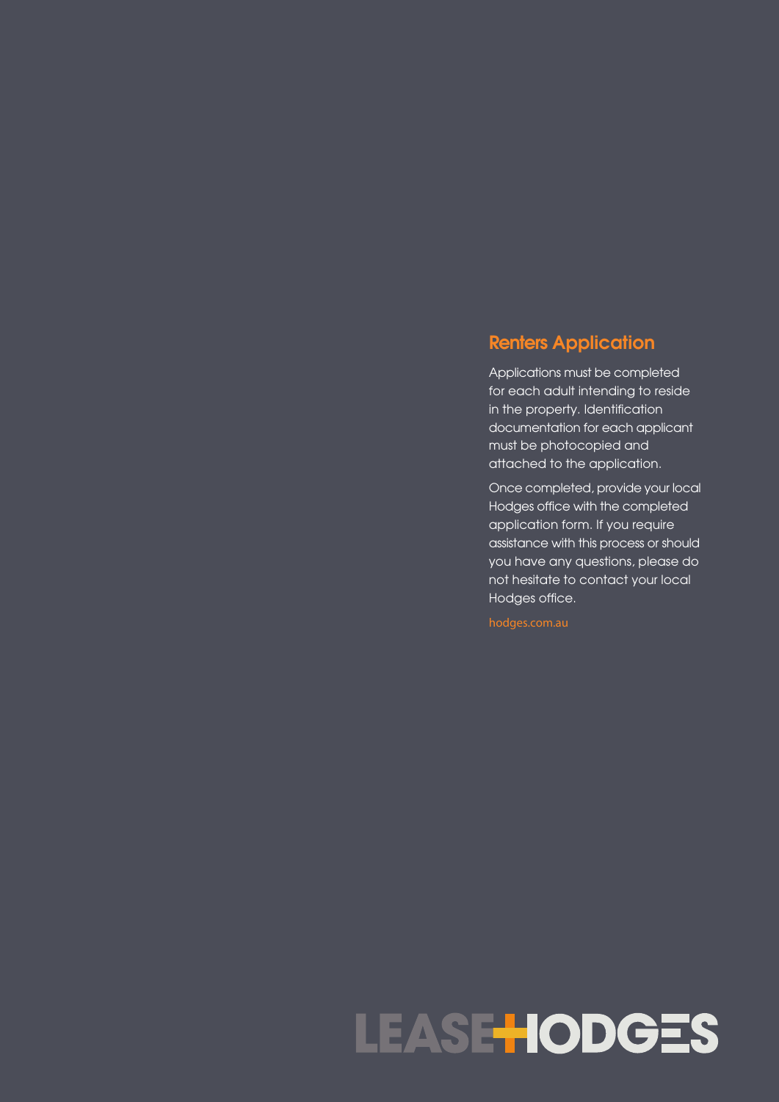# Renters Application

Applications must be completed for each adult intending to reside in the property. Identification documentation for each applicant must be photocopied and attached to the application.

Once completed, provide your local Hodges office with the completed application form. If you require assistance with this process or should you have any questions, please do not hesitate to contact your local Hodges office.

**hodges.com.au**

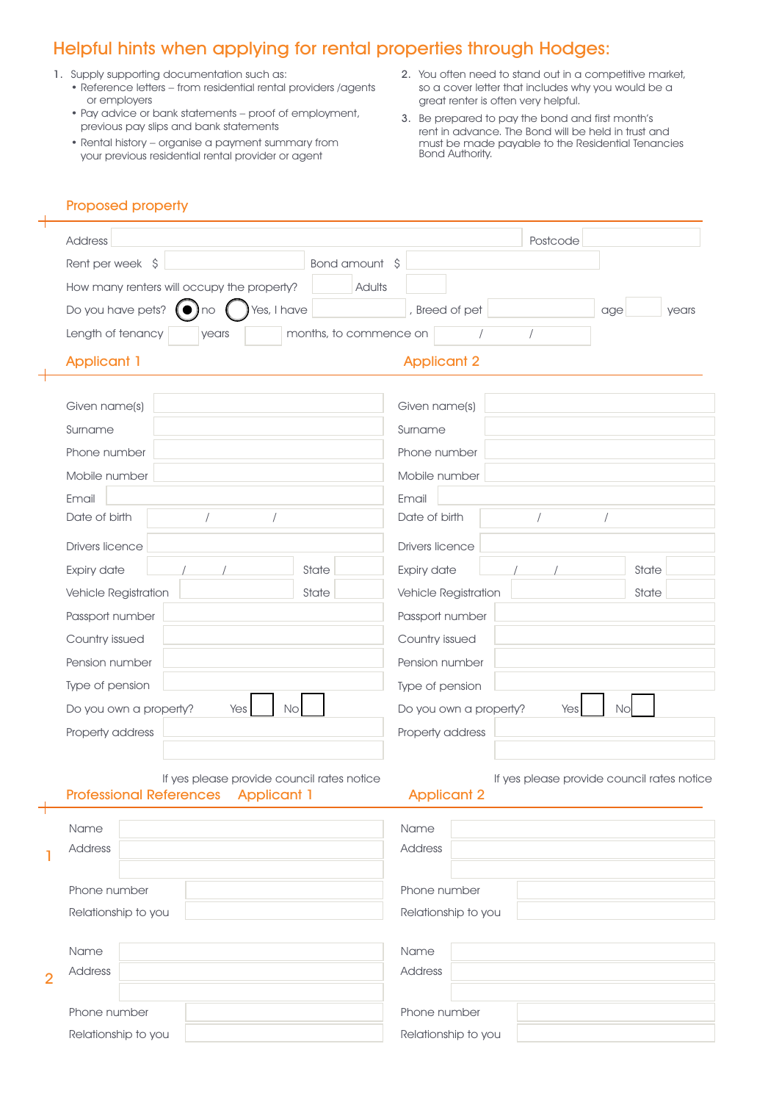# Helpful hints when applying for rental properties through Hodges:

- 1. Supply supporting documentation such as:
	- Reference letters from residential rental providers /agents or employers
	- Pay advice or bank statements proof of employment, previous pay slips and bank statements
	- Rental history organise a payment summary from your previous residential rental provider or agent
- 2. You often need to stand out in a competitive market, so a cover letter that includes why you would be a great renter is often very helpful.
- 3. Be prepared to pay the bond and first month's rent in advance. The Bond will be held in trust and must be made payable to the Residential Tenancies Bond Authority.

## Proposed property

| Address                                              | Postcode                                   |
|------------------------------------------------------|--------------------------------------------|
| Rent per week \$<br>Bond amount \$                   |                                            |
| How many renters will occupy the property?           | Adults                                     |
| Do you have pets?<br>Yes, I have<br>(●)no            | , Breed of pet<br>age<br>years             |
| Length of tenancy<br>years                           | months, to commence on                     |
| <b>Applicant 1</b>                                   | <b>Applicant 2</b>                         |
|                                                      |                                            |
| Given name(s)                                        | Given name(s)                              |
| Surname                                              | Surname                                    |
| Phone number                                         | Phone number                               |
| Mobile number                                        | Mobile number                              |
| Email                                                | Email                                      |
| Date of birth                                        | Date of birth                              |
| Drivers licence                                      | Drivers licence                            |
| State<br>Expiry date                                 | Expiry date<br>State                       |
| Vehicle Registration<br>State                        | Vehicle Registration<br>State              |
| Passport number                                      | Passport number                            |
| Country issued                                       | Country issued                             |
| Pension number                                       | Pension number                             |
| Type of pension                                      | Type of pension                            |
| Do you own a property?<br>Yes<br><b>No</b>           | Do you own a property?<br>Yes<br>No        |
| Property address                                     | Property address                           |
|                                                      |                                            |
| If yes please provide council rates notice           | If yes please provide council rates notice |
| <b>Professional References</b><br><b>Applicant 1</b> | <b>Applicant 2</b>                         |
| Name                                                 | Name                                       |
| Address                                              | Address                                    |
|                                                      |                                            |
| Phone number                                         | Phone number                               |
| Relationship to you                                  | Relationship to you                        |
| Name                                                 | Name                                       |
| Address                                              | <b>Address</b>                             |
|                                                      |                                            |
| Phone number                                         | Phone number                               |
| Relationship to you                                  | Relationship to you                        |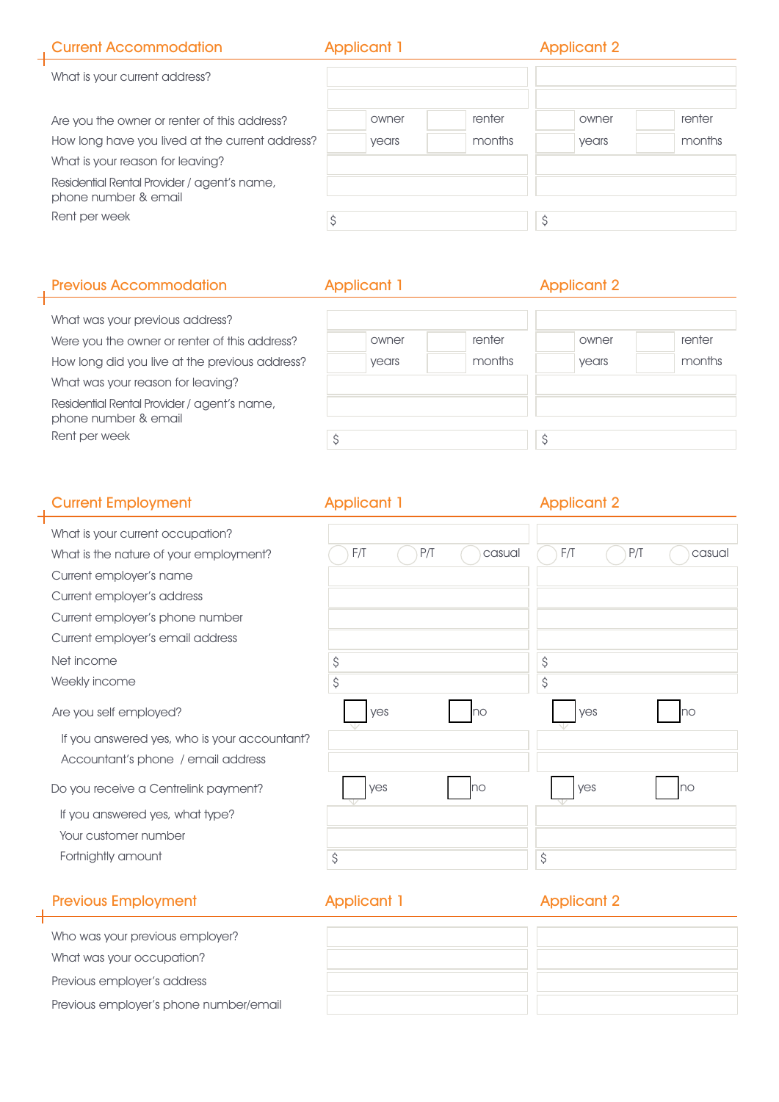## **Current Accommodation Applicant 1 Applicant 2**

| What is your current address?                                       |  |       |        |       |        |
|---------------------------------------------------------------------|--|-------|--------|-------|--------|
|                                                                     |  |       |        |       |        |
| Are you the owner or renter of this address?                        |  | owner | renter | owner | renter |
| How long have you lived at the current address?                     |  | vears | months | vears | months |
| What is your reason for leaving?                                    |  |       |        |       |        |
| Residential Rental Provider / agent's name,<br>phone number & email |  |       |        |       |        |
|                                                                     |  |       |        |       |        |
| Rent per week                                                       |  |       |        | \$    |        |

## Previous Accommodation **Applicant 1** Applicant 2

What was your previous address?

Were you the owner or renter of this address? How long did you live at the previous address?

What was your reason for leaving?

Residential Rental Provider / agent's name, phone number & email Rent per week

|       |        |       | renter |
|-------|--------|-------|--------|
| years | months | years | months |
|       |        |       |        |
|       |        |       |        |
|       |        |       |        |

## **Current Employment Current Employment Applicant 1** Applicant 2

| What is your current occupation?             |     |     |        |     |     |        |
|----------------------------------------------|-----|-----|--------|-----|-----|--------|
| What is the nature of your employment?       | F/T | P/T | casual | F/T | P/T | casual |
| Current employer's name                      |     |     |        |     |     |        |
| Current employer's address                   |     |     |        |     |     |        |
| Current employer's phone number              |     |     |        |     |     |        |
| Current employer's email address             |     |     |        |     |     |        |
| Net income                                   | \$  |     |        | \$  |     |        |
| Weekly income                                | \$  |     |        | \$  |     |        |
| Are you self employed?                       | yes |     | no     | yes |     | no     |
| If you answered yes, who is your accountant? |     |     |        |     |     |        |
| Accountant's phone / email address           |     |     |        |     |     |        |
| Do you receive a Centrelink payment?         | yes |     | no     | yes |     | no     |
| If you answered yes, what type?              |     |     |        |     |     |        |
| Your customer number                         |     |     |        |     |     |        |
| Fortnightly amount                           | \$  |     |        | \$  |     |        |

## Previous Employment **Applicant 1** Applicant 1 Applicant 2

Who was your previous employer?

What was your occupation?

Previous employer's address

Previous employer's phone number/email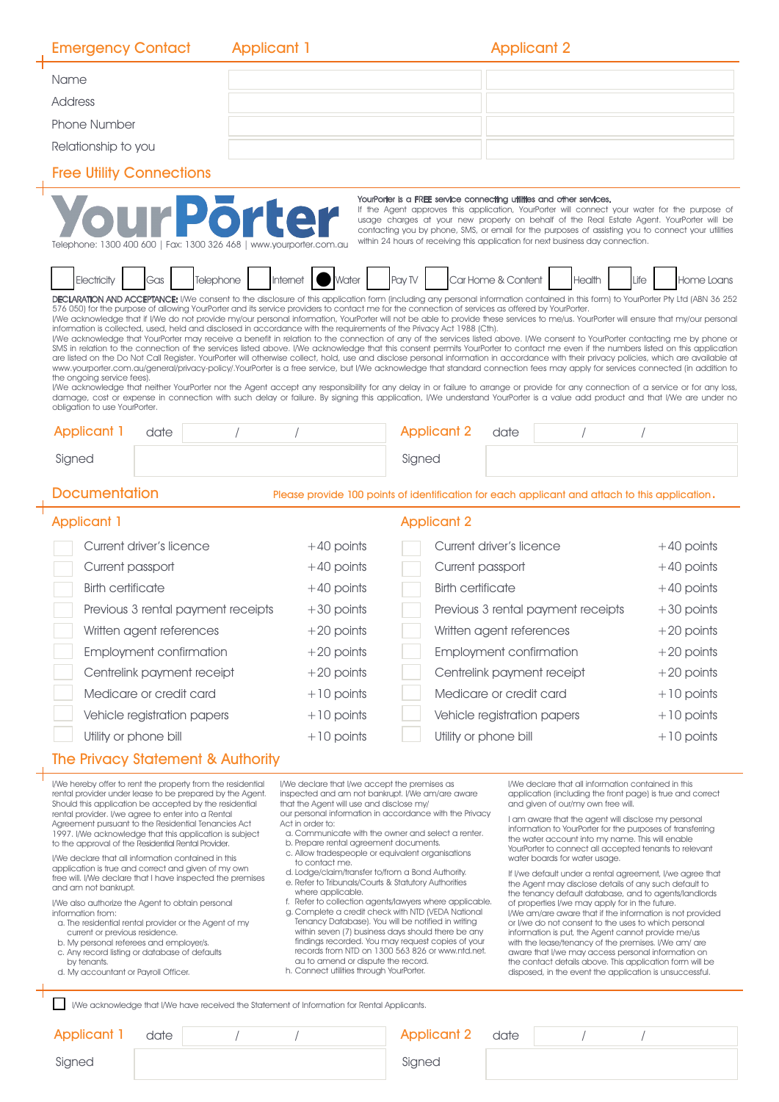| <b>Emergency Contact</b> | <b>Applicant 1</b> | <b>Applicant 2</b> |  |
|--------------------------|--------------------|--------------------|--|
| Name                     |                    |                    |  |
| Address                  |                    |                    |  |
| <b>Phone Number</b>      |                    |                    |  |
| Relationship to you      |                    |                    |  |
| Front Hillis Connoctions |                    |                    |  |

### Free Utility Connections



### YourPorter is a FREE service connecting utilities and other services.

If the Agent approves this application, YourPorter will connect your water for the purpose of usage charges at your new property on behalf of the Real Estate Agent. YourPorter will be contacting you by phone, SMS, or email for the purposes of assisting you to connect your utilities

| Electricity Gas Gelephone Internet Water Pay TV Car Home & Content Health Life Home Loans |  |  |  |  |  |  |
|-------------------------------------------------------------------------------------------|--|--|--|--|--|--|
|-------------------------------------------------------------------------------------------|--|--|--|--|--|--|

DECLARATION AND ACCEPTANCE: I/We consent to the disclosure of this application form (including any personal information contained in this form) to YourPorter Pty Ltd (ABN 36 252 576 050) for the purpose of allowing YourPorter and its service providers to contact me for the connection of services as offered by YourPorter.

I/We acknowledge that if I/We do not provide my/our personal information, YourPorter will not be able to provide these services to me/us. YourPorter will ensure that my/our personal information is collected, used, held and disclosed in accordance with the requirements of the Privacy Act 1988 (Cth).

I/We acknowledge that YourPorter may receive a benefit in relation to the connection of any of the services listed above. I/We consent to YourPorter contacting me by phone or SMS in relation to the connection of the services listed above. I/We acknowledge that this consent permits YourPorter to contact me even if the numbers listed on this application are listed on the Do Not Call Register. YourPorter will otherwise collect, hold, use and disclose personal information in accordance with their privacy policies, which are available at www.yourporter.com.au/general/privacy-policy/.YourPorter is a free service, but l/We acknowledge that standard connection fees may apply for services connected (in addition to the ongoing service fees).

I/We acknowledge that neither YourPorter nor the Agent accept any responsibility for any delay in or failure to arrange or provide for any connection of a service or for any loss,<br>damage, cost or expense in connection with obligation to use YourPorter.

| Applicant 1 date |  |  | <b>Applicant 2</b> date |  |  |
|------------------|--|--|-------------------------|--|--|
| Signed           |  |  | Signed                  |  |  |

## Documentation Please provide 100 points of identification for each applicant and attach to this application.

| <b>Applicant 1</b> | Applicant 2 |
|--------------------|-------------|

| Current driver's licence           | $+40$ points | Current driver's licence           | $+40$ points |
|------------------------------------|--------------|------------------------------------|--------------|
| Current passport                   | $+40$ points | Current passport                   | $+40$ points |
| <b>Birth certificate</b>           | $+40$ points | <b>Birth certificate</b>           | $+40$ points |
| Previous 3 rental payment receipts | $+30$ points | Previous 3 rental payment receipts | $+30$ points |
| Written agent references           | $+20$ points | Written agent references           | $+20$ points |
| <b>Employment confirmation</b>     | $+20$ points | <b>Employment confirmation</b>     | $+20$ points |
| Centrelink payment receipt         | $+20$ points | Centrelink payment receipt         | $+20$ points |
| Medicare or credit card            | $+10$ points | Medicare or credit card            | $+10$ points |
| Vehicle registration papers        | $+10$ points | Vehicle registration papers        | $+10$ points |
| Utility or phone bill              | $+10$ points | Utility or phone bill              | $+10$ points |
|                                    |              |                                    |              |

## The Privacy Statement & Authority

I/We hereby offer to rent the property from the residential rental provider under lease to be prepared by the Agent. Should this application be accepted by the residential rental provider. I/we agree to enter into a Rental Agreement pursuant to the Residential Tenancies Act 1997. I/We acknowledge that this application is subject to the approval of the Residential Rental Provider.

I/We declare that all information contained in this application is true and correct and given of my own free will. I/We declare that I have inspected the premises and am not bankrupt.

I/We also authorize the Agent to obtain personal information from:

- a. The residential rental provider or the Agent of my current or previous residence.
- b. My personal referees and employer/s. c. Any record listing or database of defaults
- by tenants.
- d. My accountant or Payroll Officer.

I/We declare that I/we accept the premises as inspected and am not bankrupt. I/We am/are aware that the Agent will use and disclose my/

our personal information in accordance with the Privacy Act in order to:

- a. Communicate with the owner and select a renter.
- b. Prepare rental agreement documents. c. Allow tradespeople or equivalent organisations to contact me.
- d. Lodge/claim/transfer to/from a Bond Authority. e. Refer to Tribunals/Courts & Statutory Authorities
- where applicable.
- f. Refer to collection agents/lawyers where applicable. g. Complete a credit check with NTD (VEDA National Tenancy Database). You will be notified in writing
- within seven (7) business days should there be any findings recorded. You may request copies of your records from NTD on 1300 563 826 or www.ntd.net. au to amend or dispute the record.
- h. Connect utilities through YourPorter.

I/We declare that all information contained in this application (including the front page) is true and correct and given of our/my own free will.

I am aware that the agent will disclose my personal information to YourPorter for the purposes of transferring the water account into my name. This will enable YourPorter to connect all accepted tenants to relevant water boards for water usage

If I/we default under a rental agreement, I/we agree that the Agent may disclose details of any such default to the tenancy default database, and to agents/landlords of properties I/we may apply for in the future. I/We am/are aware that if the information is not provided or I/we do not consent to the uses to which personal information is put, the Agent cannot provide me/us with the lease/tenancy of the premises. I/We am/ are aware that I/we may access personal information on the contact details above. This application form will be disposed, in the event the application is unsuccessful.

| We acknowledge that I/We have received the Statement of Information for Rental Applicants. |
|--------------------------------------------------------------------------------------------|

| <b>Applicant 1</b> | date |  | <b>Applicant 2</b> date |  |  |  |
|--------------------|------|--|-------------------------|--|--|--|
| Signed             |      |  | Signed                  |  |  |  |